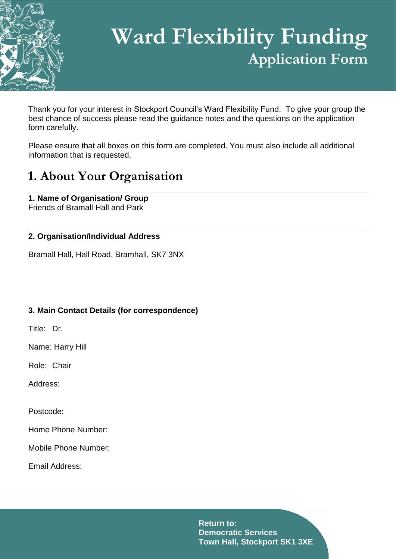

# **Ward Flexibility Funding Application Form**

Thank you for your interest in Stockport Council's Ward Flexibility Fund. To give your group the best chance of success please read the guidance notes and the questions on the application form carefully.

Please ensure that all boxes on this form are completed. You must also include all additional information that is requested.

### **1. About Your Organisation**

**1. Name of Organisation/ Group** Friends of Bramall Hall and Park

### **2. Organisation/Individual Address**

Bramall Hall, Hall Road, Bramhall, SK7 3NX

### **3. Main Contact Details (for correspondence)**

Title: Dr.

Name: Harry Hill

Role: Chair

Address:

Postcode:

Home Phone Number:

Mobile Phone Number:

Email Address: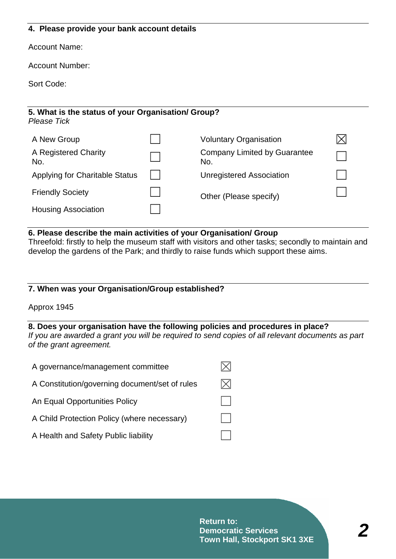#### **4. Please provide your bank account details**

Account Name:

Account Number:

Sort Code:

| 5. What is the status of your Organisation/ Group?<br>Please Tick |  |                                     |  |  |  |  |  |  |
|-------------------------------------------------------------------|--|-------------------------------------|--|--|--|--|--|--|
| A New Group                                                       |  | <b>Voluntary Organisation</b>       |  |  |  |  |  |  |
| A Registered Charity<br>No.                                       |  | Company Limited by Guarantee<br>No. |  |  |  |  |  |  |
| <b>Applying for Charitable Status</b>                             |  | Unregistered Association            |  |  |  |  |  |  |
| <b>Friendly Society</b>                                           |  | Other (Please specify)              |  |  |  |  |  |  |
| <b>Housing Association</b>                                        |  |                                     |  |  |  |  |  |  |

#### **6. Please describe the main activities of your Organisation/ Group**

Threefold: firstly to help the museum staff with visitors and other tasks; secondly to maintain and develop the gardens of the Park; and thirdly to raise funds which support these aims.

#### **7. When was your Organisation/Group established?**

Approx 1945

#### **8. Does your organisation have the following policies and procedures in place?**

*If you are awarded a grant you will be required to send copies of all relevant documents as part of the grant agreement.*

| A governance/management committee              |          |
|------------------------------------------------|----------|
| A Constitution/governing document/set of rules | $\times$ |
| An Equal Opportunities Policy                  |          |
| A Child Protection Policy (where necessary)    |          |
| A Health and Safety Public liability           |          |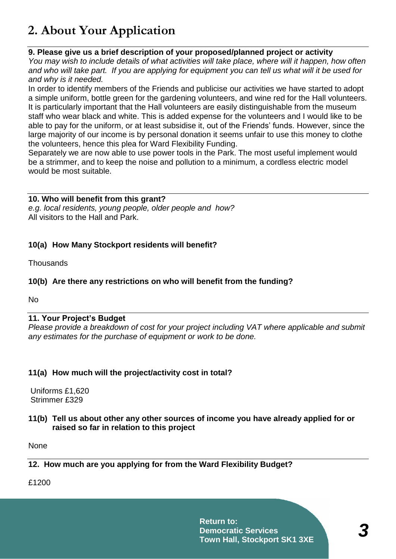# **2. About Your Application**

### **9. Please give us a brief description of your proposed/planned project or activity**

*You may wish to include details of what activities will take place, where will it happen, how often and who will take part. If you are applying for equipment you can tell us what will it be used for and why is it needed.*

In order to identify members of the Friends and publicise our activities we have started to adopt a simple uniform, bottle green for the gardening volunteers, and wine red for the Hall volunteers. It is particularly important that the Hall volunteers are easily distinguishable from the museum staff who wear black and white. This is added expense for the volunteers and I would like to be able to pay for the uniform, or at least subsidise it, out of the Friends' funds. However, since the large majority of our income is by personal donation it seems unfair to use this money to clothe the volunteers, hence this plea for Ward Flexibility Funding.

Separately we are now able to use power tools in the Park. The most useful implement would be a strimmer, and to keep the noise and pollution to a minimum, a cordless electric model would be most suitable.

### **10. Who will benefit from this grant?**

*e.g. local residents, young people, older people and how?* All visitors to the Hall and Park.

### **10(a) How Many Stockport residents will benefit?**

**Thousands** 

### **10(b) Are there any restrictions on who will benefit from the funding?**

No

### **11. Your Project's Budget**

*Please provide a breakdown of cost for your project including VAT where applicable and submit any estimates for the purchase of equipment or work to be done.*

### **11(a) How much will the project/activity cost in total?**

Uniforms £1,620 Strimmer £329

**11(b) Tell us about other any other sources of income you have already applied for or raised so far in relation to this project**

None

### **12. How much are you applying for from the Ward Flexibility Budget?**

£1200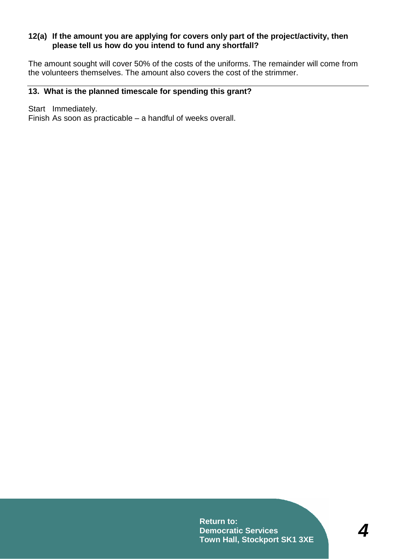#### **12(a) If the amount you are applying for covers only part of the project/activity, then please tell us how do you intend to fund any shortfall?**

The amount sought will cover 50% of the costs of the uniforms. The remainder will come from the volunteers themselves. The amount also covers the cost of the strimmer.

### **13. What is the planned timescale for spending this grant?**

Start Immediately.

Finish As soon as practicable – a handful of weeks overall.

**Return to: Democratic Services Town Hall, Stockport SK1 3XE**

*4*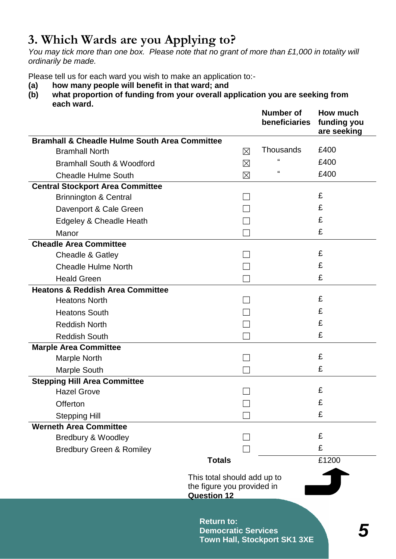# **3. Which Wards are you Applying to?**

*You may tick more than one box. Please note that no grant of more than £1,000 in totality will ordinarily be made.*

Please tell us for each ward you wish to make an application to:-

- **(a) how many people will benefit in that ward; and**
- **(b) what proportion of funding from your overall application you are seeking from each ward.**

|                                                          |                                                                                 | <b>Number of</b><br>beneficiaries | How much<br>funding you<br>are seeking |
|----------------------------------------------------------|---------------------------------------------------------------------------------|-----------------------------------|----------------------------------------|
| <b>Bramhall &amp; Cheadle Hulme South Area Committee</b> |                                                                                 |                                   |                                        |
| <b>Bramhall North</b>                                    | ⊠                                                                               | Thousands                         | £400                                   |
| <b>Bramhall South &amp; Woodford</b>                     | ⊠                                                                               | $\mathbf{f}$                      | £400                                   |
| <b>Cheadle Hulme South</b>                               | ⊠                                                                               | $\epsilon$                        | £400                                   |
| <b>Central Stockport Area Committee</b>                  |                                                                                 |                                   |                                        |
| <b>Brinnington &amp; Central</b>                         |                                                                                 |                                   | £                                      |
| Davenport & Cale Green                                   |                                                                                 |                                   | £                                      |
| Edgeley & Cheadle Heath                                  |                                                                                 |                                   | £                                      |
| Manor                                                    |                                                                                 |                                   | £                                      |
| <b>Cheadle Area Committee</b>                            |                                                                                 |                                   |                                        |
| Cheadle & Gatley                                         |                                                                                 |                                   | £                                      |
| <b>Cheadle Hulme North</b>                               |                                                                                 |                                   | £                                      |
| <b>Heald Green</b>                                       |                                                                                 |                                   | £                                      |
| <b>Heatons &amp; Reddish Area Committee</b>              |                                                                                 |                                   |                                        |
| <b>Heatons North</b>                                     |                                                                                 |                                   | £                                      |
| <b>Heatons South</b>                                     |                                                                                 |                                   | £                                      |
| <b>Reddish North</b>                                     |                                                                                 |                                   | £                                      |
| <b>Reddish South</b>                                     |                                                                                 |                                   | £                                      |
| <b>Marple Area Committee</b>                             |                                                                                 |                                   |                                        |
| <b>Marple North</b>                                      |                                                                                 |                                   | £                                      |
| <b>Marple South</b>                                      |                                                                                 |                                   | £                                      |
| <b>Stepping Hill Area Committee</b>                      |                                                                                 |                                   |                                        |
| <b>Hazel Grove</b>                                       |                                                                                 |                                   | £                                      |
| Offerton                                                 |                                                                                 |                                   | £                                      |
| <b>Stepping Hill</b>                                     |                                                                                 |                                   | £                                      |
| <b>Werneth Area Committee</b>                            |                                                                                 |                                   |                                        |
| Bredbury & Woodley                                       |                                                                                 |                                   | £                                      |
| <b>Bredbury Green &amp; Romiley</b>                      |                                                                                 |                                   | £                                      |
|                                                          | <b>Totals</b>                                                                   |                                   | £1200                                  |
|                                                          | This total should add up to<br>the figure you provided in<br><b>Question 12</b> |                                   |                                        |
|                                                          |                                                                                 |                                   |                                        |
|                                                          | <b>Return to:</b><br><b>Democratic Services</b><br>Town Hall, Stockport SK1 3XE |                                   |                                        |